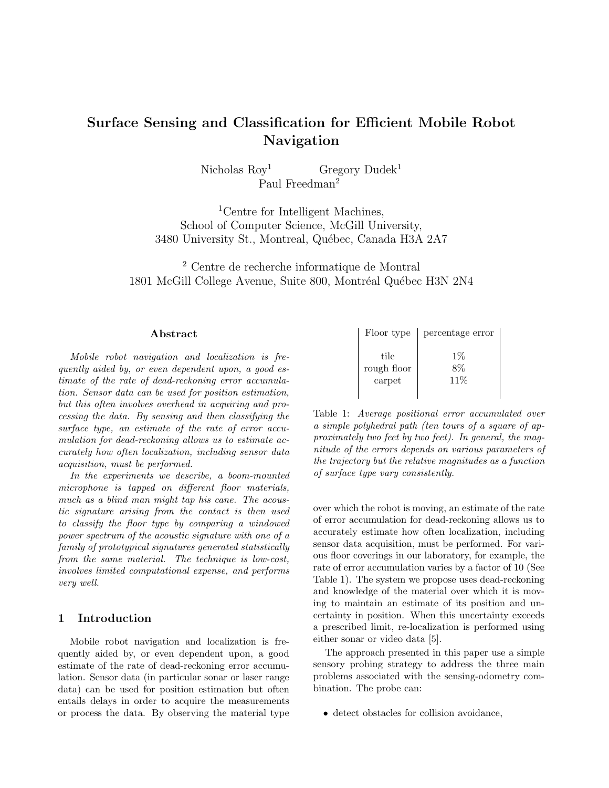# Surface Sensing and Classification for Efficient Mobile Robot Navigation

Nicholas Roy  $Gregory Dudek<sup>1</sup>$ Paul Freedman<sup>2</sup>

<sup>1</sup>Centre for Intelligent Machines, School of Computer Science, McGill University, 3480 University St., Montreal, Québec, Canada H3A 2A7

<sup>2</sup> Centre de recherche informatique de Montral 1801 McGill College Avenue, Suite 800, Montréal Québec H3N 2N4

#### Abstract

Mobile robot navigation and localization is frequently aided by, or even dependent upon, a good estimate of the rate of dead-reckoning error accumulation. Sensor data can be used for position estimation, but this often involves overhead in acquiring and processing the data. By sensing and then classifying the surface type, an estimate of the rate of error accumulation for dead-reckoning allows us to estimate accurately how often localization, including sensor data acquisition, must be performed.

In the experiments we describe, a boom-mounted microphone is tapped on different floor materials, much as a blind man might tap his cane. The acoustic signature arising from the contact is then used to classify the floor type by comparing a windowed power spectrum of the acoustic signature with one of a family of prototypical signatures generated statistically from the same material. The technique is low-cost, involves limited computational expense, and performs very well.

# 1 Introduction

Mobile robot navigation and localization is frequently aided by, or even dependent upon, a good estimate of the rate of dead-reckoning error accumulation. Sensor data (in particular sonar or laser range data) can be used for position estimation but often entails delays in order to acquire the measurements or process the data. By observing the material type

| Floor type                    | percentage error |
|-------------------------------|------------------|
| tile<br>rough floor<br>carpet | $1\%$<br>11%     |

Table 1: Average positional error accumulated over a simple polyhedral path (ten tours of a square of approximately two feet by two feet). In general, the magnitude of the errors depends on various parameters of the trajectory but the relative magnitudes as a function of surface type vary consistently.

over which the robot is moving, an estimate of the rate of error accumulation for dead-reckoning allows us to accurately estimate how often localization, including sensor data acquisition, must be performed. For various floor coverings in our laboratory, for example, the rate of error accumulation varies by a factor of 10 (See Table 1). The system we propose uses dead-reckoning and knowledge of the material over which it is moving to maintain an estimate of its position and uncertainty in position. When this uncertainty exceeds a prescribed limit, re-localization is performed using either sonar or video data [5].

The approach presented in this paper use a simple sensory probing strategy to address the three main problems associated with the sensing-odometry combination. The probe can:

• detect obstacles for collision avoidance,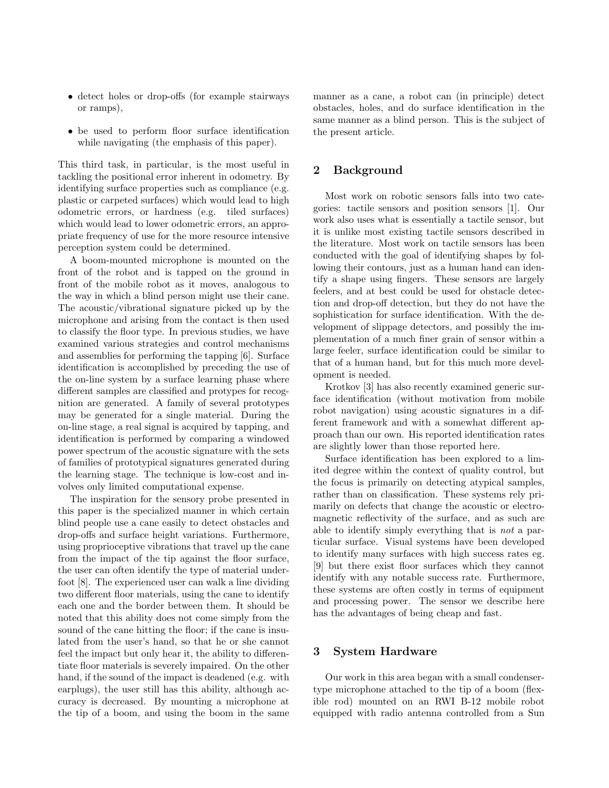- detect holes or drop-offs (for example stairways or ramps),
- be used to perform floor surface identification while navigating (the emphasis of this paper).

This third task, in particular, is the most useful in tackling the positional error inherent in odometry. By identifying surface properties such as compliance (e.g. plastic or carpeted surfaces) which would lead to high odometric errors, or hardness (e.g. tiled surfaces) which would lead to lower odometric errors, an appropriate frequency of use for the more resource intensive perception system could be determined.

A boom-mounted microphone is mounted on the front of the robot and is tapped on the ground in front of the mobile robot as it moves, analogous to the way in which a blind person might use their cane. The acoustic/vibrational signature picked up by the microphone and arising from the contact is then used to classify the floor type. In previous studies, we have examined various strategies and control mechanisms and assemblies for performing the tapping [6]. Surface identification is accomplished by preceding the use of the on-line system by a surface learning phase where different samples are classified and protypes for recognition are generated. A family of several prototypes may be generated for a single material. During the on-line stage, a real signal is acquired by tapping, and identification is performed by comparing a windowed power spectrum of the acoustic signature with the sets of families of prototypical signatures generated during the learning stage. The technique is low-cost and involves only limited computational expense.

The inspiration for the sensory probe presented in this paper is the specialized manner in which certain blind people use a cane easily to detect obstacles and drop-offs and surface height variations. Furthermore, using proprioceptive vibrations that travel up the cane from the impact of the tip against the floor surface, the user can often identify the type of material underfoot [8]. The experienced user can walk a line dividing two different floor materials, using the cane to identify each one and the border between them. It should be noted that this ability does not come simply from the sound of the cane hitting the floor; if the cane is insulated from the user's hand, so that he or she cannot feel the impact but only hear it, the ability to differentiate floor materials is severely impaired. On the other hand, if the sound of the impact is deadened (e.g. with earplugs), the user still has this ability, although accuracy is decreased. By mounting a microphone at the tip of a boom, and using the boom in the same manner as a cane, a robot can (in principle) detect obstacles, holes, and do surface identification in the same manner as a blind person. This is the subject of the present article.

# 2 Background

Most work on robotic sensors falls into two categories: tactile sensors and position sensors [1]. Our work also uses what is essentially a tactile sensor, but it is unlike most existing tactile sensors described in the literature. Most work on tactile sensors has been conducted with the goal of identifying shapes by following their contours, just as a human hand can identify a shape using fingers. These sensors are largely feelers, and at best could be used for obstacle detection and drop-off detection, but they do not have the sophistication for surface identification. With the development of slippage detectors, and possibly the implementation of a much finer grain of sensor within a large feeler, surface identification could be similar to that of a human hand, but for this much more development is needed.

Krotkov [3] has also recently examined generic surface identification (without motivation from mobile robot navigation) using acoustic signatures in a different framework and with a somewhat different approach than our own. His reported identification rates are slightly lower than those reported here.

Surface identification has been explored to a limited degree within the context of quality control, but the focus is primarily on detecting atypical samples, rather than on classification. These systems rely primarily on defects that change the acoustic or electromagnetic reflectivity of the surface, and as such are able to identify simply everything that is not a particular surface. Visual systems have been developed to identify many surfaces with high success rates eg. [9] but there exist floor surfaces which they cannot identify with any notable success rate. Furthermore, these systems are often costly in terms of equipment and processing power. The sensor we describe here has the advantages of being cheap and fast.

## 3 System Hardware

Our work in this area began with a small condensertype microphone attached to the tip of a boom (flexible rod) mounted on an RWI B-12 mobile robot equipped with radio antenna controlled from a Sun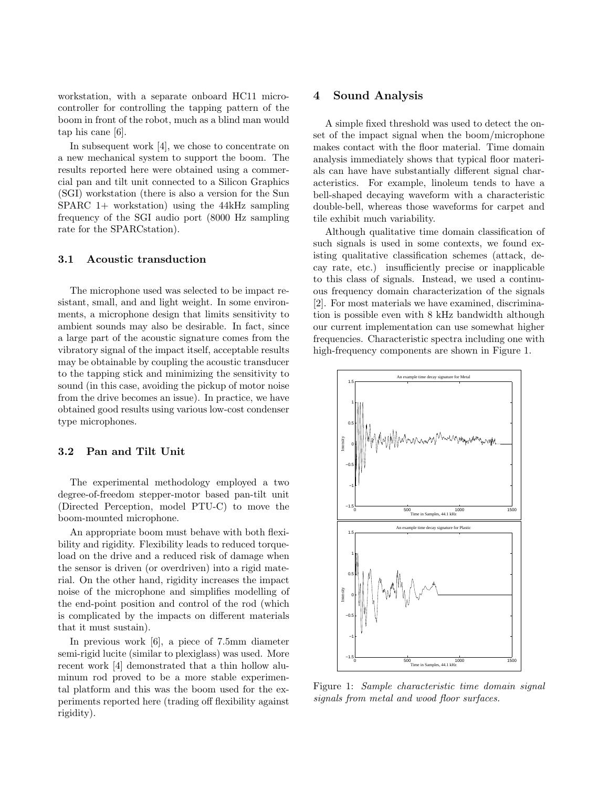workstation, with a separate onboard HC11 microcontroller for controlling the tapping pattern of the boom in front of the robot, much as a blind man would tap his cane [6].

In subsequent work [4], we chose to concentrate on a new mechanical system to support the boom. The results reported here were obtained using a commercial pan and tilt unit connected to a Silicon Graphics (SGI) workstation (there is also a version for the Sun SPARC 1+ workstation) using the 44kHz sampling frequency of the SGI audio port (8000 Hz sampling rate for the SPARCstation).

#### 3.1 Acoustic transduction

The microphone used was selected to be impact resistant, small, and and light weight. In some environments, a microphone design that limits sensitivity to ambient sounds may also be desirable. In fact, since a large part of the acoustic signature comes from the vibratory signal of the impact itself, acceptable results may be obtainable by coupling the acoustic transducer to the tapping stick and minimizing the sensitivity to sound (in this case, avoiding the pickup of motor noise from the drive becomes an issue). In practice, we have obtained good results using various low-cost condenser type microphones.

#### 3.2 Pan and Tilt Unit

The experimental methodology employed a two degree-of-freedom stepper-motor based pan-tilt unit (Directed Perception, model PTU-C) to move the boom-mounted microphone.

An appropriate boom must behave with both flexibility and rigidity. Flexibility leads to reduced torqueload on the drive and a reduced risk of damage when the sensor is driven (or overdriven) into a rigid material. On the other hand, rigidity increases the impact noise of the microphone and simplifies modelling of the end-point position and control of the rod (which is complicated by the impacts on different materials that it must sustain).

In previous work [6], a piece of 7.5mm diameter semi-rigid lucite (similar to plexiglass) was used. More recent work [4] demonstrated that a thin hollow aluminum rod proved to be a more stable experimental platform and this was the boom used for the experiments reported here (trading off flexibility against rigidity).

# 4 Sound Analysis

A simple fixed threshold was used to detect the onset of the impact signal when the boom/microphone makes contact with the floor material. Time domain analysis immediately shows that typical floor materials can have have substantially different signal characteristics. For example, linoleum tends to have a bell-shaped decaying waveform with a characteristic double-bell, whereas those waveforms for carpet and tile exhibit much variability.

Although qualitative time domain classification of such signals is used in some contexts, we found existing qualitative classification schemes (attack, decay rate, etc.) insufficiently precise or inapplicable to this class of signals. Instead, we used a continuous frequency domain characterization of the signals [2]. For most materials we have examined, discrimination is possible even with 8 kHz bandwidth although our current implementation can use somewhat higher frequencies. Characteristic spectra including one with high-frequency components are shown in Figure 1.



Figure 1: Sample characteristic time domain signal signals from metal and wood floor surfaces.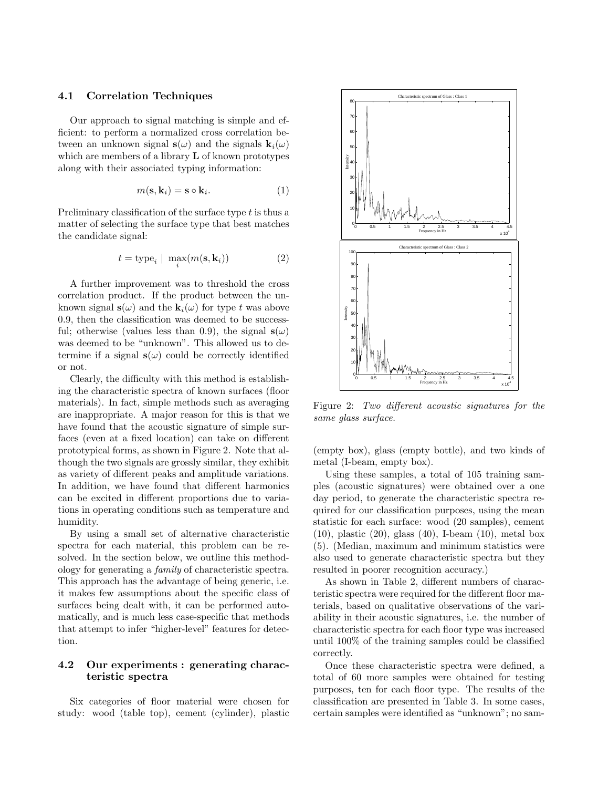#### 4.1 Correlation Techniques

Our approach to signal matching is simple and efficient: to perform a normalized cross correlation between an unknown signal  $s(\omega)$  and the signals  $k_i(\omega)$ which are members of a library  **of known prototypes** along with their associated typing information:

$$
m(\mathbf{s}, \mathbf{k}_i) = \mathbf{s} \circ \mathbf{k}_i. \tag{1}
$$

Preliminary classification of the surface type t is thus a matter of selecting the surface type that best matches the candidate signal:

$$
t = \text{type}_i \mid \max_i(m(\mathbf{s}, \mathbf{k}_i))
$$
 (2)

A further improvement was to threshold the cross correlation product. If the product between the unknown signal  $s(\omega)$  and the  $k_i(\omega)$  for type t was above 0.9, then the classification was deemed to be successful; otherwise (values less than 0.9), the signal  $s(\omega)$ was deemed to be "unknown". This allowed us to determine if a signal  $s(\omega)$  could be correctly identified or not.

Clearly, the difficulty with this method is establishing the characteristic spectra of known surfaces (floor materials). In fact, simple methods such as averaging are inappropriate. A major reason for this is that we have found that the acoustic signature of simple surfaces (even at a fixed location) can take on different prototypical forms, as shown in Figure 2. Note that although the two signals are grossly similar, they exhibit as variety of different peaks and amplitude variations. In addition, we have found that different harmonics can be excited in different proportions due to variations in operating conditions such as temperature and humidity.

By using a small set of alternative characteristic spectra for each material, this problem can be resolved. In the section below, we outline this methodology for generating a family of characteristic spectra. This approach has the advantage of being generic, i.e. it makes few assumptions about the specific class of surfaces being dealt with, it can be performed automatically, and is much less case-specific that methods that attempt to infer "higher-level" features for detection.

## 4.2 Our experiments : generating characteristic spectra

Six categories of floor material were chosen for study: wood (table top), cement (cylinder), plastic



Figure 2: Two different acoustic signatures for the same glass surface.

(empty box), glass (empty bottle), and two kinds of metal (I-beam, empty box).

Using these samples, a total of 105 training samples (acoustic signatures) were obtained over a one day period, to generate the characteristic spectra required for our classification purposes, using the mean statistic for each surface: wood (20 samples), cement (10), plastic (20), glass (40), I-beam (10), metal box (5). (Median, maximum and minimum statistics were also used to generate characteristic spectra but they resulted in poorer recognition accuracy.)

As shown in Table 2, different numbers of characteristic spectra were required for the different floor materials, based on qualitative observations of the variability in their acoustic signatures, i.e. the number of characteristic spectra for each floor type was increased until 100% of the training samples could be classified correctly.

Once these characteristic spectra were defined, a total of 60 more samples were obtained for testing purposes, ten for each floor type. The results of the classification are presented in Table 3. In some cases, certain samples were identified as "unknown"; no sam-